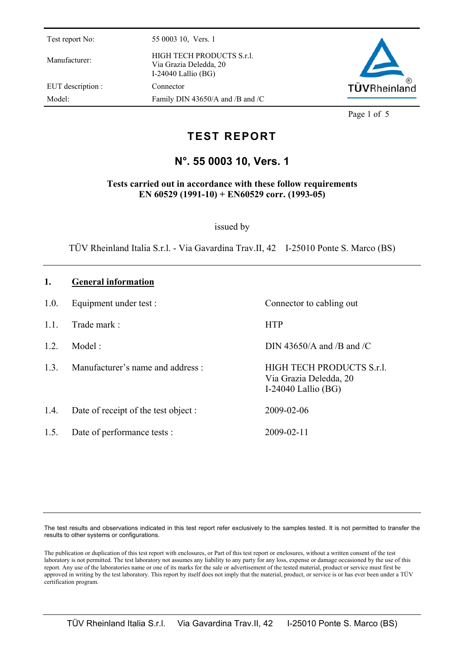Manufacturer: HIGH TECH PRODUCTS S.r.l. Via Grazia Deledda, 20 I-24040 Lallio (BG) EUT description : Connector Model: Family DIN 43650/A and /B and /C



Page 1 of 5

# **TEST REPORT**

## **N°. 55 0003 10, Vers. 1**

**Tests carried out in accordance with these follow requirements EN 60529 (1991-10) + EN60529 corr. (1993-05)** 

issued by

TÜV Rheinland Italia S.r.l. - Via Gavardina Trav.II, 42 I-25010 Ponte S. Marco (BS)

#### **1. General information**

1.0. Equipment under test : Connector to cabling out 1.1. Trade mark : HTP 1.2. Model : DIN 43650/A and /B and /C 1.3. Manufacturer's name and address : HIGH TECH PRODUCTS S.r.l. Via Grazia Deledda, 20 I-24040 Lallio (BG) 1.4. Date of receipt of the test object : 2009-02-06 1.5. Date of performance tests : 2009-02-11

The test results and observations indicated in this test report refer exclusively to the samples tested. It is not permitted to transfer the results to other systems or configurations.

The publication or duplication of this test report with enclosures, or Part of this test report or enclosures, without a written consent of the test laboratory is not permitted. The test laboratory not assumes any liability to any party for any loss, expense or damage occasioned by the use of this report. Any use of the laboratories name or one of its marks for the sale or advertisement of the tested material, product or service must first be approved in writing by the test laboratory. This report by itself does not imply that the material, product, or service is or has ever been under a TÜV certification program.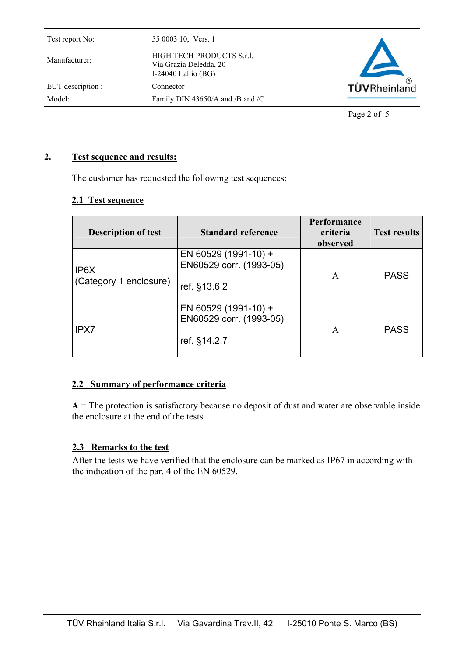| Test report No:   | 55 0003 10, Vers. 1                                                          |              |
|-------------------|------------------------------------------------------------------------------|--------------|
| Manufacturer:     | HIGH TECH PRODUCTS S.r.l.<br>Via Grazia Deledda, 20<br>I-24040 Lallio $(BG)$ |              |
| EUT description : | Connector                                                                    | TÜVRheinland |
| Model:            | Family DIN 43650/A and /B and /C                                             |              |
|                   |                                                                              |              |

Page 2 of 5

### **2. Test sequence and results:**

The customer has requested the following test sequences:

#### **2.1 Test sequence**

| <b>Description of test</b>                  | <b>Standard reference</b>                                       | Performance<br>criteria<br>observed | <b>Test results</b> |
|---------------------------------------------|-----------------------------------------------------------------|-------------------------------------|---------------------|
| IP <sub>6</sub> X<br>(Category 1 enclosure) | EN 60529 (1991-10) +<br>EN60529 corr. (1993-05)<br>ref. §13.6.2 | A                                   | <b>PASS</b>         |
| IPX7                                        | EN 60529 (1991-10) +<br>EN60529 corr. (1993-05)<br>ref. §14.2.7 | A                                   | <b>PASS</b>         |

### **2.2 Summary of performance criteria**

 $A =$ The protection is satisfactory because no deposit of dust and water are observable inside the enclosure at the end of the tests.

### **2.3 Remarks to the test**

After the tests we have verified that the enclosure can be marked as IP67 in according with the indication of the par. 4 of the EN 60529.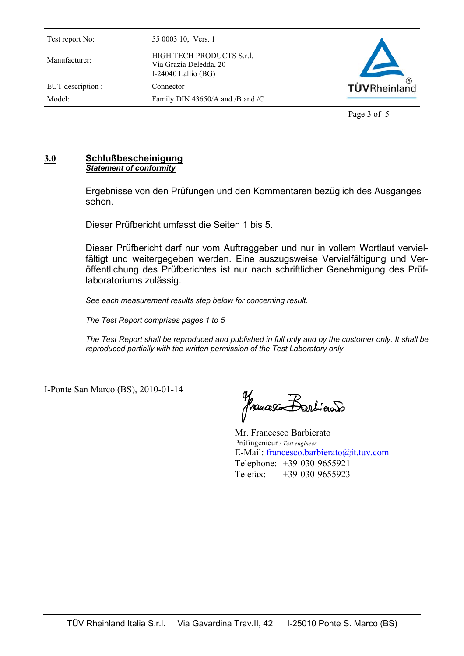Manufacturer: HIGH TECH PRODUCTS S.r.l. Via Grazia Deledda, 20 I-24040 Lallio (BG) EUT description : Connector Model: Family DIN 43650/A and /B and /C

**TÜVRheinland** 

Page 3 of 5

### **3.0 Schlußbescheinigung** *Statement of conformity*

Ergebnisse von den Prüfungen und den Kommentaren bezüglich des Ausganges sehen.

Dieser Prüfbericht umfasst die Seiten 1 bis 5.

Dieser Prüfbericht darf nur vom Auftraggeber und nur in vollem Wortlaut vervielfältigt und weitergegeben werden. Eine auszugsweise Vervielfältigung und Veröffentlichung des Prüfberichtes ist nur nach schriftlicher Genehmigung des Prüflaboratoriums zulässig.

*See each measurement results step below for concerning result.* 

*The Test Report comprises pages 1 to 5* 

*The Test Report shall be reproduced and published in full only and by the customer only. It shall be reproduced partially with the written permission of the Test Laboratory only.* 

I-Ponte San Marco (BS), 2010-01-14

francesco Barticolo

Mr. Francesco Barbierato Prüfingenieur / *Test engineer*  E-Mail: francesco.barbierato@it.tuv.com Telephone: +39-030-9655921 Telefax: +39-030-9655923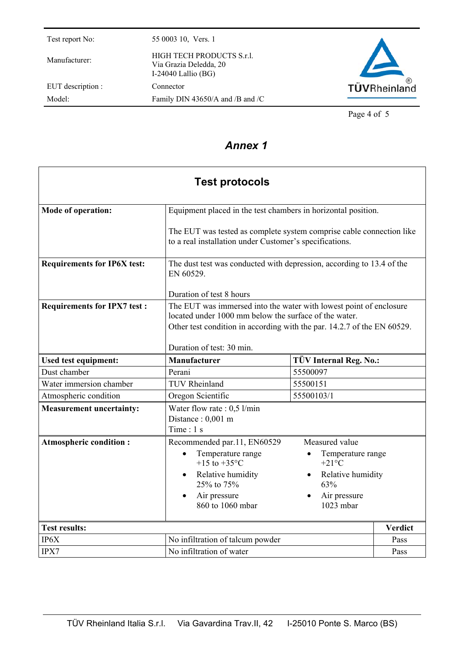Manufacturer: HIGH TECH PRODUCTS S.r.l. Via Grazia Deledda, 20 I-24040 Lallio (BG) EUT description : Connector Model: Family DIN 43650/A and /B and /C



Page 4 of 5

# *Annex 1*

| <b>Test protocols</b>              |                                                                                                                                                                                                                                     |                                                                                                                             |                |  |
|------------------------------------|-------------------------------------------------------------------------------------------------------------------------------------------------------------------------------------------------------------------------------------|-----------------------------------------------------------------------------------------------------------------------------|----------------|--|
| <b>Mode of operation:</b>          | Equipment placed in the test chambers in horizontal position.                                                                                                                                                                       |                                                                                                                             |                |  |
|                                    | The EUT was tested as complete system comprise cable connection like<br>to a real installation under Customer's specifications.                                                                                                     |                                                                                                                             |                |  |
| <b>Requirements for IP6X test:</b> | The dust test was conducted with depression, according to 13.4 of the<br>EN 60529.                                                                                                                                                  |                                                                                                                             |                |  |
|                                    | Duration of test 8 hours                                                                                                                                                                                                            |                                                                                                                             |                |  |
| <b>Requirements for IPX7 test:</b> | The EUT was immersed into the water with lowest point of enclosure<br>located under 1000 mm below the surface of the water.<br>Other test condition in according with the par. 14.2.7 of the EN 60529.<br>Duration of test: 30 min. |                                                                                                                             |                |  |
| Used test equipment:               | Manufacturer                                                                                                                                                                                                                        | TÜV Internal Reg. No.:                                                                                                      |                |  |
| Dust chamber                       | Perani                                                                                                                                                                                                                              | 55500097                                                                                                                    |                |  |
| Water immersion chamber            | <b>TUV Rheinland</b>                                                                                                                                                                                                                | 55500151                                                                                                                    |                |  |
| Atmospheric condition              | Oregon Scientific                                                                                                                                                                                                                   | 55500103/1                                                                                                                  |                |  |
| <b>Measurement uncertainty:</b>    | Water flow rate : $0,5$ l/min<br>Distance: 0,001 m<br>Time: 1 s                                                                                                                                                                     |                                                                                                                             |                |  |
| <b>Atmospheric condition:</b>      | Recommended par.11, EN60529<br>Temperature range<br>+15 to +35 $^{\circ}$ C<br>Relative humidity<br>25% to 75%<br>Air pressure<br>860 to 1060 mbar                                                                                  | Measured value<br>Temperature range<br>$+21^{\circ}C$<br>Relative humidity<br>63%<br>Air pressure<br>$102\overline{3}$ mbar |                |  |
| <b>Test results:</b>               |                                                                                                                                                                                                                                     |                                                                                                                             | <b>Verdict</b> |  |
| IP6X                               | No infiltration of talcum powder                                                                                                                                                                                                    |                                                                                                                             | Pass           |  |
| IPX7                               | No infiltration of water                                                                                                                                                                                                            |                                                                                                                             | Pass           |  |